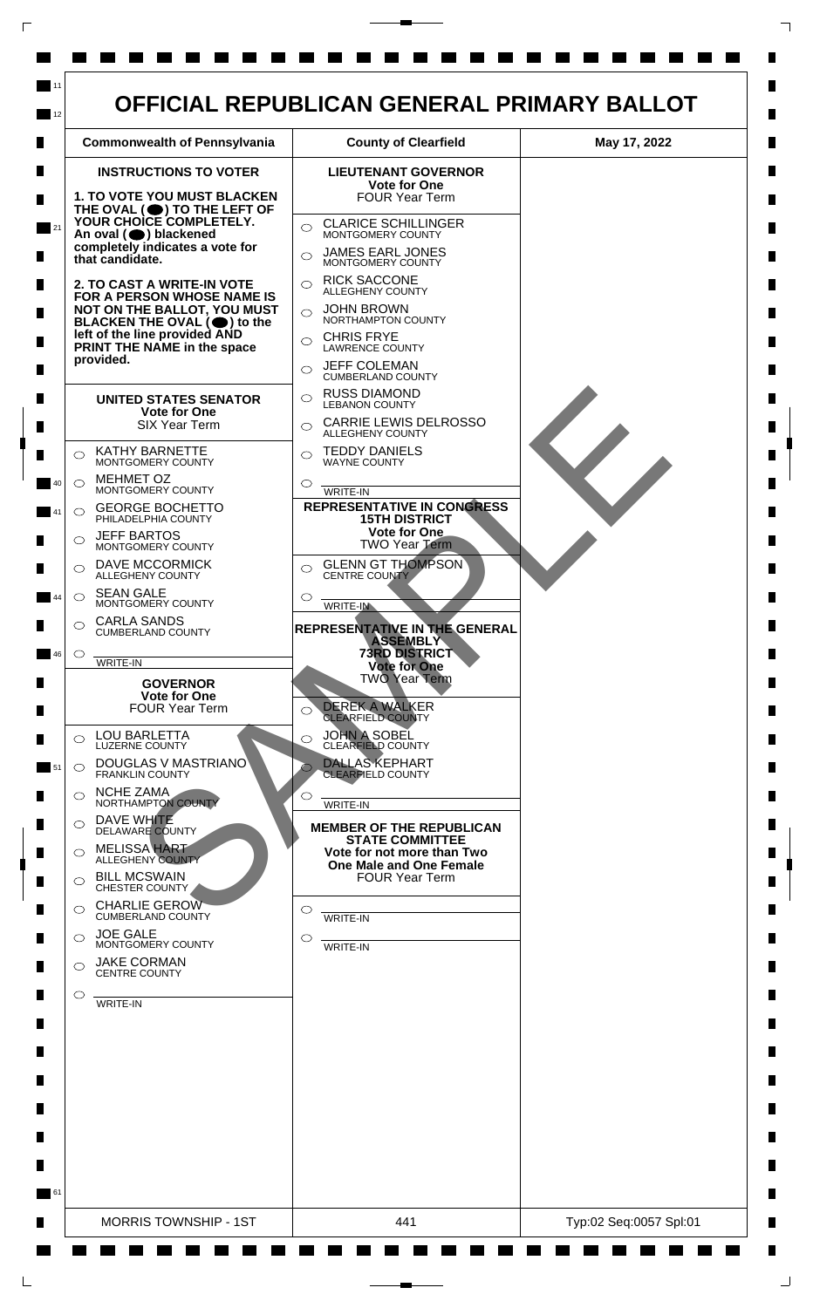

 $\mathsf{L}$ 

 $\Box$